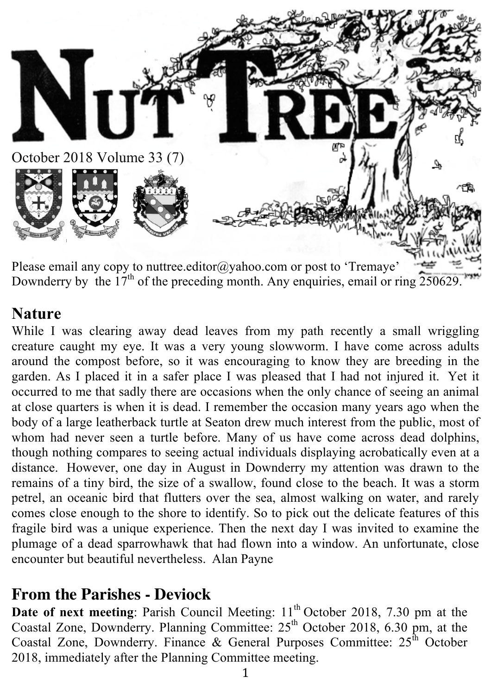

Please email any copy to nuttree.editor@yahoo.com or post to 'Tremaye' Downderry by the  $17<sup>th</sup>$  of the preceding month. Any enquiries, email or ring  $250629$ .

#### **Nature**

While I was clearing away dead leaves from my path recently a small wriggling creature caught my eye. It was a very young slowworm. I have come across adults around the compost before, so it was encouraging to know they are breeding in the garden. As I placed it in a safer place I was pleased that I had not injured it. Yet it occurred to me that sadly there are occasions when the only chance of seeing an animal at close quarters is when it is dead. I remember the occasion many years ago when the body of a large leatherback turtle at Seaton drew much interest from the public, most of whom had never seen a turtle before. Many of us have come across dead dolphins, though nothing compares to seeing actual individuals displaying acrobatically even at a distance. However, one day in August in Downderry my attention was drawn to the remains of a tiny bird, the size of a swallow, found close to the beach. It was a storm petrel, an oceanic bird that flutters over the sea, almost walking on water, and rarely comes close enough to the shore to identify. So to pick out the delicate features of this fragile bird was a unique experience. Then the next day I was invited to examine the plumage of a dead sparrowhawk that had flown into a window. An unfortunate, close encounter but beautiful nevertheless. Alan Payne

## **From the Parishes - Deviock**

**Date of next meeting**: Parish Council Meeting: 11<sup>th</sup> October 2018, 7.30 pm at the Coastal Zone, Downderry. Planning Committee:  $25<sup>th</sup>$  October 2018, 6.30 pm, at the Coastal Zone, Downderry. Finance & General Purposes Committee:  $25^{\text{th}}$  October 2018, immediately after the Planning Committee meeting.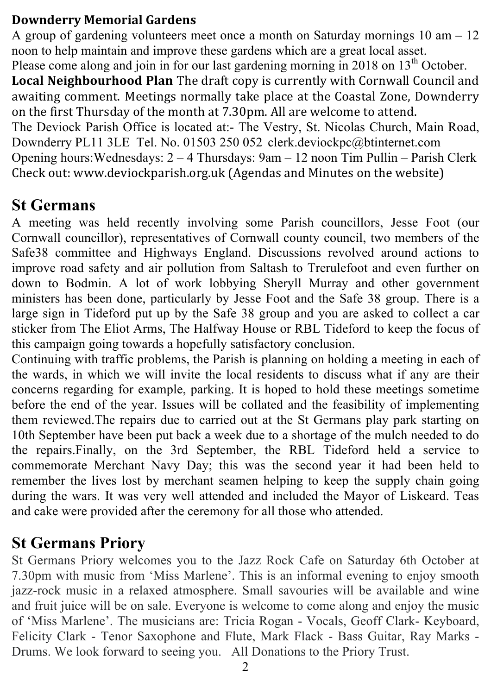#### **Downderry Memorial Gardens**

A group of gardening volunteers meet once a month on Saturday mornings  $10 \text{ am} - 12$ noon to help maintain and improve these gardens which are a great local asset. Please come along and join in for our last gardening morning in 2018 on 13<sup>th</sup> October. **Local Neighbourhood Plan** The draft copy is currently with Cornwall Council and awaiting comment. Meetings normally take place at the Coastal Zone, Downderry on the first Thursday of the month at 7.30pm. All are welcome to attend. The Deviock Parish Office is located at:- The Vestry, St. Nicolas Church, Main Road, Downderry PL11 3LE Tel. No. 01503 250 052 clerk.deviockpc@btinternet.com Opening hours:Wednesdays: 2 – 4 Thursdays: 9am – 12 noon Tim Pullin – Parish Clerk Check out: www.deviockparish.org.uk (Agendas and Minutes on the website)

#### **St Germans**

A meeting was held recently involving some Parish councillors, Jesse Foot (our Cornwall councillor), representatives of Cornwall county council, two members of the Safe38 committee and Highways England. Discussions revolved around actions to improve road safety and air pollution from Saltash to Trerulefoot and even further on down to Bodmin. A lot of work lobbying Sheryll Murray and other government ministers has been done, particularly by Jesse Foot and the Safe 38 group. There is a large sign in Tideford put up by the Safe 38 group and you are asked to collect a car sticker from The Eliot Arms, The Halfway House or RBL Tideford to keep the focus of this campaign going towards a hopefully satisfactory conclusion.

Continuing with traffic problems, the Parish is planning on holding a meeting in each of the wards, in which we will invite the local residents to discuss what if any are their concerns regarding for example, parking. It is hoped to hold these meetings sometime before the end of the year. Issues will be collated and the feasibility of implementing them reviewed.The repairs due to carried out at the St Germans play park starting on 10th September have been put back a week due to a shortage of the mulch needed to do the repairs.Finally, on the 3rd September, the RBL Tideford held a service to commemorate Merchant Navy Day; this was the second year it had been held to remember the lives lost by merchant seamen helping to keep the supply chain going during the wars. It was very well attended and included the Mayor of Liskeard. Teas and cake were provided after the ceremony for all those who attended.

## **St Germans Priory**

St Germans Priory welcomes you to the Jazz Rock Cafe on Saturday 6th October at 7.30pm with music from 'Miss Marlene'. This is an informal evening to enjoy smooth jazz-rock music in a relaxed atmosphere. Small savouries will be available and wine and fruit juice will be on sale. Everyone is welcome to come along and enjoy the music of 'Miss Marlene'. The musicians are: Tricia Rogan - Vocals, Geoff Clark- Keyboard, Felicity Clark - Tenor Saxophone and Flute, Mark Flack - Bass Guitar, Ray Marks - Drums. We look forward to seeing you. All Donations to the Priory Trust.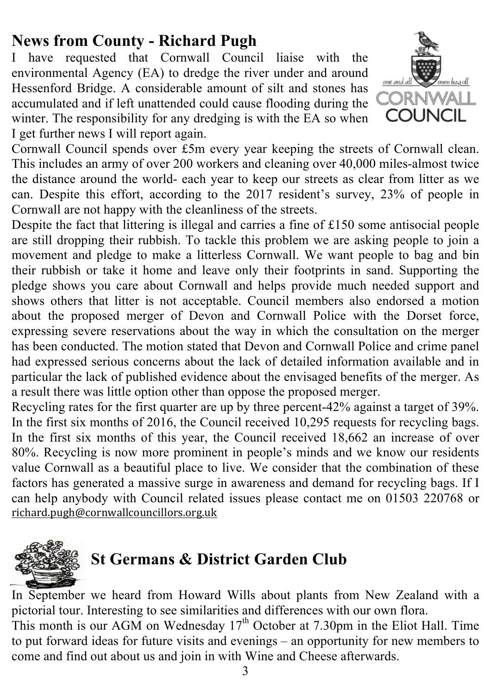# **News from County - Richard Pugh**

I have requested that Cornwall Council liaise with the environmental Agency (EA) to dredge the river under and around Hessenford Bridge. A considerable amount of silt and stones has accumulated and if left unattended could cause flooding during the winter. The responsibility for any dredging is with the EA so when I get further news I will report again.



Cornwall Council spends over £5m every year keeping the streets of Cornwall clean. This includes an army of over 200 workers and cleaning over 40,000 miles-almost twice the distance around the world- each year to keep our streets as clear from litter as we can. Despite this effort, according to the 2017 resident's survey, 23% of people in Cornwall are not happy with the cleanliness of the streets.

Despite the fact that littering is illegal and carries a fine of £150 some antisocial people are still dropping their rubbish. To tackle this problem we are asking people to join a movement and pledge to make a litterless Cornwall. We want people to bag and bin their rubbish or take it home and leave only their footprints in sand. Supporting the pledge shows you care about Cornwall and helps provide much needed support and shows others that litter is not acceptable. Council members also endorsed a motion about the proposed merger of Devon and Cornwall Police with the Dorset force, expressing severe reservations about the way in which the consultation on the merger has been conducted. The motion stated that Devon and Cornwall Police and crime panel had expressed serious concerns about the lack of detailed information available and in particular the lack of published evidence about the envisaged benefits of the merger. As a result there was little option other than oppose the proposed merger.

Recycling rates for the first quarter are up by three percent-42% against a target of 39%. In the first six months of 2016, the Council received 10,295 requests for recycling bags. In the first six months of this year, the Council received 18,662 an increase of over 80%. Recycling is now more prominent in people's minds and we know our residents value Cornwall as a beautiful place to live. We consider that the combination of these factors has generated a massive surge in awareness and demand for recycling bags. If I can help anybody with Council related issues please contact me on 01503 220768 or richard.pugh@cornwallcouncillors.org.uk



# **St Germans & District Garden Club**

In September we heard from Howard Wills about plants from New Zealand with a pictorial tour. Interesting to see similarities and differences with our own flora.

This month is our AGM on Wednesday  $17<sup>th</sup>$  October at 7.30pm in the Eliot Hall. Time to put forward ideas for future visits and evenings – an opportunity for new members to come and find out about us and join in with Wine and Cheese afterwards.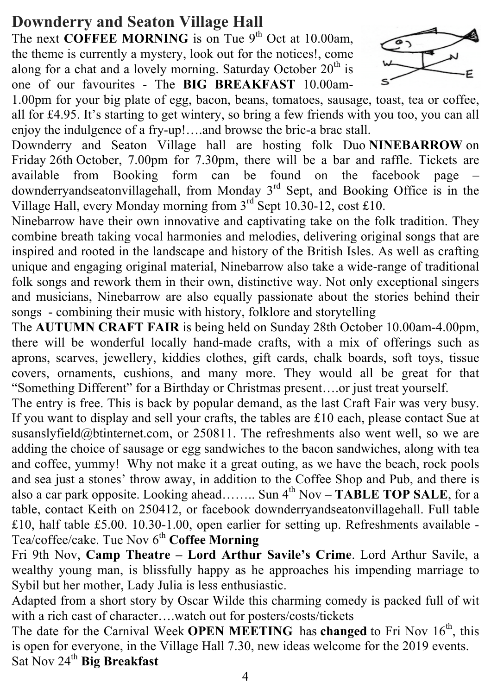## **Downderry and Seaton Village Hall**

The next **COFFEE MORNING** is on Tue  $9<sup>th</sup>$  Oct at 10.00am, the theme is currently a mystery, look out for the notices!, come along for a chat and a lovely morning. Saturday October  $20<sup>th</sup>$  is one of our favourites - The **BIG BREAKFAST** 10.00am-



1.00pm for your big plate of egg, bacon, beans, tomatoes, sausage, toast, tea or coffee, all for £4.95. It's starting to get wintery, so bring a few friends with you too, you can all enjoy the indulgence of a fry-up!….and browse the bric-a brac stall.

Downderry and Seaton Village hall are hosting folk Duo **NINEBARROW** on Friday 26th October, 7.00pm for 7.30pm, there will be a bar and raffle. Tickets are available from Booking form can be found on the facebook page – downderryandseatonvillagehall, from Monday 3<sup>rd</sup> Sept, and Booking Office is in the Village Hall, every Monday morning from 3rd Sept 10.30-12, cost £10.

Ninebarrow have their own innovative and captivating take on the folk tradition. They combine breath taking vocal harmonies and melodies, delivering original songs that are inspired and rooted in the landscape and history of the British Isles. As well as crafting unique and engaging original material, Ninebarrow also take a wide-range of traditional folk songs and rework them in their own, distinctive way. Not only exceptional singers and musicians, Ninebarrow are also equally passionate about the stories behind their songs - combining their music with history, folklore and storytelling

The **AUTUMN CRAFT FAIR** is being held on Sunday 28th October 10.00am-4.00pm, there will be wonderful locally hand-made crafts, with a mix of offerings such as aprons, scarves, jewellery, kiddies clothes, gift cards, chalk boards, soft toys, tissue covers, ornaments, cushions, and many more. They would all be great for that "Something Different" for a Birthday or Christmas present….or just treat yourself.

The entry is free. This is back by popular demand, as the last Craft Fair was very busy. If you want to display and sell your crafts, the tables are £10 each, please contact Sue at susanslyfield@btinternet.com, or 250811. The refreshments also went well, so we are adding the choice of sausage or egg sandwiches to the bacon sandwiches, along with tea and coffee, yummy! Why not make it a great outing, as we have the beach, rock pools and sea just a stones' throw away, in addition to the Coffee Shop and Pub, and there is also a car park opposite. Looking ahead…….. Sun  $4^{th}$  Nov – **TABLE TOP SALE**, for a table, contact Keith on 250412, or facebook downderryandseatonvillagehall. Full table £10, half table £5.00. 10.30-1.00, open earlier for setting up. Refreshments available - Tea/coffee/cake. Tue Nov 6<sup>th</sup> Coffee Morning

Fri 9th Nov, **Camp Theatre – Lord Arthur Savile's Crime**. Lord Arthur Savile, a wealthy young man, is blissfully happy as he approaches his impending marriage to Sybil but her mother, Lady Julia is less enthusiastic.

Adapted from a short story by Oscar Wilde this charming comedy is packed full of wit with a rich cast of character….watch out for posters/costs/tickets

The date for the Carnival Week **OPEN MEETING** has **changed** to Fri Nov 16<sup>th</sup>, this is open for everyone, in the Village Hall 7.30, new ideas welcome for the 2019 events. Sat Nov 24<sup>th</sup> Big Breakfast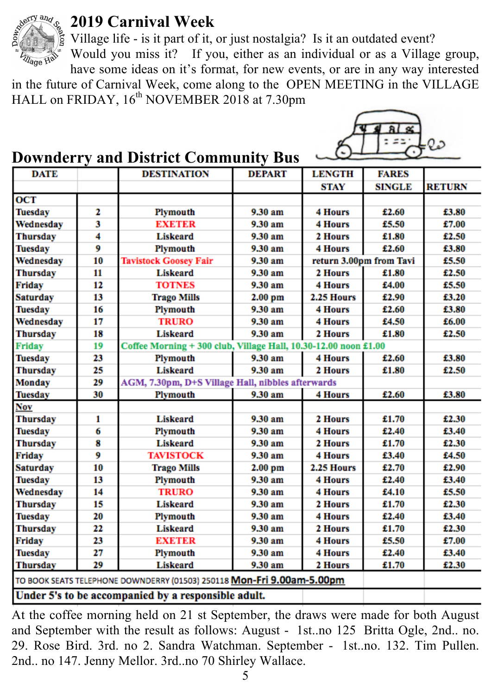

#### **2019 Carnival Week**

Village life - is it part of it, or just nostalgia? Is it an outdated event?

Would you miss it? If you, either as an individual or as a Village group, have some ideas on it's format, for new events, or are in any way interested

in the future of Carnival Week, come along to the OPEN MEETING in the VILLAGE HALL on FRIDAY, 16<sup>th</sup> NOVEMBER 2018 at 7.30pm

#### **Downderry and District Community Bus**

| <b>DATE</b>                                                            |    | <b>DESTINATION</b>                                              | <b>DEPART</b> | <b>LENGTH</b>           | <b>FARES</b>  |               |
|------------------------------------------------------------------------|----|-----------------------------------------------------------------|---------------|-------------------------|---------------|---------------|
|                                                                        |    |                                                                 |               | STAY                    | <b>SINGLE</b> | <b>RETURN</b> |
| OCT                                                                    |    |                                                                 |               |                         |               |               |
| <b>Tuesday</b>                                                         | 2  | Plymouth                                                        | 9.30 am       | <b>4 Hours</b>          | £2.60         | £3.80         |
| Wednesday                                                              | 3  | <b>EXETER</b>                                                   | 9.30 am       | <b>4 Hours</b>          | £5.50         | £7.00         |
| <b>Thursday</b>                                                        | 4  | Liskeard                                                        | 9.30 am       | 2 Hours                 | £1.80         | £2.50         |
| <b>Tuesday</b>                                                         | 9  | Plymouth                                                        | 9.30 am       | <b>4 Hours</b>          | £2.60         | £3.80         |
| Wednesday                                                              | 10 | <b>Tavistock Goosey Fair</b>                                    | 9.30 am       | return 3.00pm from Tavi |               | £5.50         |
| <b>Thursday</b>                                                        | 11 | Liskeard                                                        | 9.30 am       | 2 Hours                 | £1.80         | £2.50         |
| Friday                                                                 | 12 | <b>TOTNES</b>                                                   | 9.30 am       | <b>4 Hours</b>          | £4.00         | £5.50         |
| <b>Saturday</b>                                                        | 13 | <b>Trago Mills</b>                                              | $2.00$ pm     | 2.25 Hours              | £2.90         | £3.20         |
| <b>Tuesday</b>                                                         | 16 | Plymouth                                                        | 9.30 am       | <b>4 Hours</b>          | £2.60         | £3.80         |
| Wednesday                                                              | 17 | <b>TRURO</b>                                                    | 9.30 am       | 4 Hours                 | £4.50         | £6.00         |
| <b>Thursday</b>                                                        | 18 | <b>Liskeard</b>                                                 | 9.30 am       | 2 Hours                 | £1.80         | £2.50         |
| <b>Friday</b>                                                          | 19 | Coffee Morning + 300 club, Village Hall, 10.30-12.00 noon £1.00 |               |                         |               |               |
| <b>Tuesday</b>                                                         | 23 | Plymouth                                                        | 9.30 am       | <b>4 Hours</b>          | £2.60         | £3.80         |
| <b>Thursday</b>                                                        | 25 | <b>Liskeard</b>                                                 | 9.30 am       | 2 Hours                 | £1.80         | £2.50         |
| <b>Monday</b>                                                          | 29 | AGM, 7.30pm, D+S Village Hall, nibbles afterwards               |               |                         |               |               |
| <b>Tuesday</b>                                                         | 30 | Plymouth                                                        | 9.30 am       | 4 Hours                 | £2.60         | £3.80         |
| Nov                                                                    |    |                                                                 |               |                         |               |               |
| <b>Thursday</b>                                                        | 1  | <b>Liskeard</b>                                                 | 9.30 am       | 2 Hours                 | £1.70         | £2.30         |
| <b>Tuesday</b>                                                         | 6  | Plymouth                                                        | 9.30 am       | <b>4 Hours</b>          | £2.40         | £3.40         |
| <b>Thursday</b>                                                        | 8  | <b>Liskeard</b>                                                 | 9.30 am       | 2 Hours                 | £1.70         | £2.30         |
| Friday                                                                 | 9  | <b>TAVISTOCK</b>                                                | 9.30 am       | <b>4 Hours</b>          | £3.40         | £4.50         |
| <b>Saturday</b>                                                        | 10 | <b>Trago Mills</b>                                              | $2.00$ pm     | 2.25 Hours              | £2.70         | £2.90         |
| <b>Tuesday</b>                                                         | 13 | Plymouth                                                        | 9.30 am       | <b>4 Hours</b>          | £2.40         | £3.40         |
| Wednesday                                                              | 14 | <b>TRURO</b>                                                    | 9.30 am       | <b>4 Hours</b>          | £4.10         | £5.50         |
| <b>Thursday</b>                                                        | 15 | Liskeard                                                        | 9.30 am       | 2 Hours                 | £1.70         | £2.30         |
| <b>Tuesday</b>                                                         | 20 | Plymouth                                                        | 9.30 am       | <b>4 Hours</b>          | £2.40         | £3.40         |
| <b>Thursday</b>                                                        | 22 | <b>Liskeard</b>                                                 | 9.30 am       | 2 Hours                 | £1.70         | £2.30         |
| Friday                                                                 | 23 | <b>EXETER</b>                                                   | 9.30 am       | <b>4 Hours</b>          | £5.50         | £7.00         |
| <b>Tuesday</b>                                                         | 27 | Plymouth                                                        | 9.30 am       | <b>4 Hours</b>          | £2.40         | £3.40         |
| <b>Thursday</b>                                                        | 29 | Liskeard                                                        | 9.30 am       | 2 Hours                 | £1.70         | £2.30         |
| TO BOOK SEATS TELEPHONE DOWNDERRY (01503) 250118 Mon-Fri 9.00am-5.00pm |    |                                                                 |               |                         |               |               |
|                                                                        |    | Under 5's to be accompanied by a responsible adult.             |               |                         |               |               |
|                                                                        |    |                                                                 |               |                         |               |               |

At the coffee morning held on 21 st September, the draws were made for both August and September with the result as follows: August - 1st..no 125 Britta Ogle, 2nd.. no. 29. Rose Bird. 3rd. no 2. Sandra Watchman. September - 1st..no. 132. Tim Pullen. 2nd.. no 147. Jenny Mellor. 3rd..no 70 Shirley Wallace.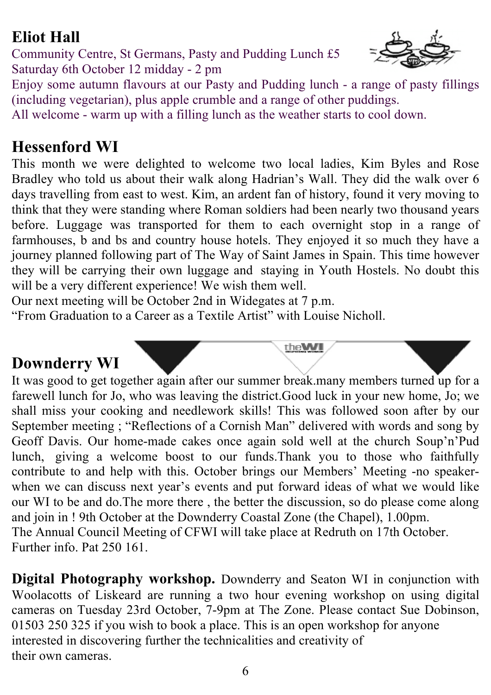# **Eliot Hall**

Community Centre, St Germans, Pasty and Pudding Lunch £5 Saturday 6th October 12 midday - 2 pm



Enjoy some autumn flavours at our Pasty and Pudding lunch - a range of pasty fillings (including vegetarian), plus apple crumble and a range of other puddings.

All welcome - warm up with a filling lunch as the weather starts to cool down.

#### **Hessenford WI**

This month we were delighted to welcome two local ladies, Kim Byles and Rose Bradley who told us about their walk along Hadrian's Wall. They did the walk over 6 days travelling from east to west. Kim, an ardent fan of history, found it very moving to think that they were standing where Roman soldiers had been nearly two thousand years before. Luggage was transported for them to each overnight stop in a range of farmhouses, b and bs and country house hotels. They enjoyed it so much they have a journey planned following part of The Way of Saint James in Spain. This time however they will be carrying their own luggage and staying in Youth Hostels. No doubt this will be a very different experience! We wish them well.

Our next meeting will be October 2nd in Widegates at 7 p.m.

"From Graduation to a Career as a Textile Artist" with Louise Nicholl.

## **Downderry WI**

It was good to get together again after our summer break.many members turned up for a farewell lunch for Jo, who was leaving the district.Good luck in your new home, Jo; we shall miss your cooking and needlework skills! This was followed soon after by our September meeting ; "Reflections of a Cornish Man" delivered with words and song by Geoff Davis. Our home-made cakes once again sold well at the church Soup'n'Pud lunch, giving a welcome boost to our funds.Thank you to those who faithfully contribute to and help with this. October brings our Members' Meeting -no speakerwhen we can discuss next year's events and put forward ideas of what we would like our WI to be and do.The more there , the better the discussion, so do please come along and join in ! 9th October at the Downderry Coastal Zone (the Chapel), 1.00pm. The Annual Council Meeting of CFWI will take place at Redruth on 17th October. Further info. Pat 250 161.

theWI

**Digital Photography workshop.** Downderry and Seaton WI in conjunction with Woolacotts of Liskeard are running a two hour evening workshop on using digital cameras on Tuesday 23rd October, 7-9pm at The Zone. Please contact Sue Dobinson, 01503 250 325 if you wish to book a place. This is an open workshop for anyone interested in discovering further the technicalities and creativity of their own cameras.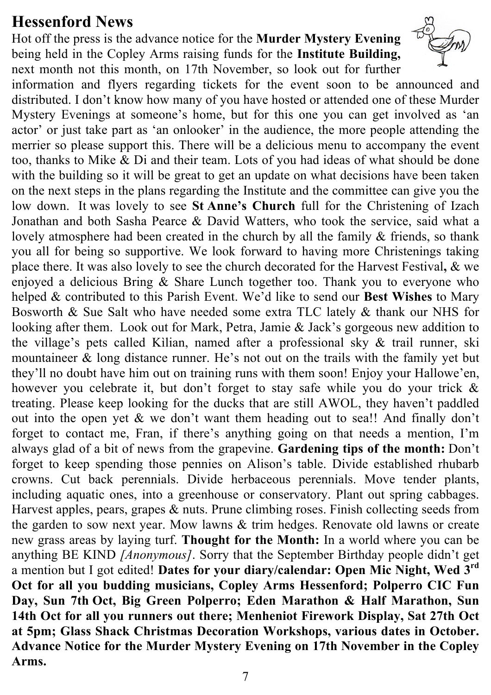#### **Hessenford News**

Hot off the press is the advance notice for the **Murder Mystery Evening**  being held in the Copley Arms raising funds for the **Institute Building,** next month not this month, on 17th November, so look out for further



information and flyers regarding tickets for the event soon to be announced and distributed. I don't know how many of you have hosted or attended one of these Murder Mystery Evenings at someone's home, but for this one you can get involved as 'an actor' or just take part as 'an onlooker' in the audience, the more people attending the merrier so please support this. There will be a delicious menu to accompany the event too, thanks to Mike & Di and their team. Lots of you had ideas of what should be done with the building so it will be great to get an update on what decisions have been taken on the next steps in the plans regarding the Institute and the committee can give you the low down. It was lovely to see **St Anne's Church** full for the Christening of Izach Jonathan and both Sasha Pearce & David Watters, who took the service, said what a lovely atmosphere had been created in the church by all the family  $\&$  friends, so thank you all for being so supportive. We look forward to having more Christenings taking place there. It was also lovely to see the church decorated for the Harvest Festival**,** & we enjoyed a delicious Bring & Share Lunch together too. Thank you to everyone who helped & contributed to this Parish Event. We'd like to send our **Best Wishes** to Mary Bosworth & Sue Salt who have needed some extra TLC lately & thank our NHS for looking after them. Look out for Mark, Petra, Jamie & Jack's gorgeous new addition to the village's pets called Kìlian, named after a professional sky & trail runner, ski mountaineer & long distance runner. He's not out on the trails with the family yet but they'll no doubt have him out on training runs with them soon! Enjoy your Hallowe'en, however you celebrate it, but don't forget to stay safe while you do your trick & treating. Please keep looking for the ducks that are still AWOL, they haven't paddled out into the open yet & we don't want them heading out to sea!! And finally don't forget to contact me, Fran, if there's anything going on that needs a mention, I'm always glad of a bit of news from the grapevine. **Gardening tips of the month:** Don't forget to keep spending those pennies on Alison's table. Divide established rhubarb crowns. Cut back perennials. Divide herbaceous perennials. Move tender plants, including aquatic ones, into a greenhouse or conservatory. Plant out spring cabbages. Harvest apples, pears, grapes & nuts. Prune climbing roses. Finish collecting seeds from the garden to sow next year. Mow lawns & trim hedges. Renovate old lawns or create new grass areas by laying turf. **Thought for the Month:** In a world where you can be anything BE KIND *[Anonymous]*. Sorry that the September Birthday people didn't get a mention but I got edited! **Dates for your diary/calendar: Open Mic Night, Wed 3rd Oct for all you budding musicians, Copley Arms Hessenford; Polperro CIC Fun Day, Sun 7th Oct, Big Green Polperro; Eden Marathon & Half Marathon, Sun 14th Oct for all you runners out there; Menheniot Firework Display, Sat 27th Oct at 5pm; Glass Shack Christmas Decoration Workshops, various dates in October. Advance Notice for the Murder Mystery Evening on 17th November in the Copley Arms.**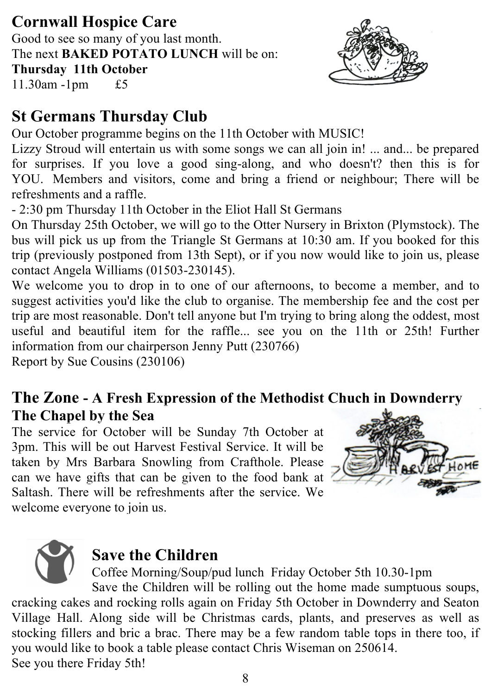# **Cornwall Hospice Care**

Good to see so many of you last month. The next **BAKED POTATO LUNCH** will be on: **Thursday 11th October** 11.30am -1pm £5



# **St Germans Thursday Club**

Our October programme begins on the 11th October with MUSIC!

Lizzy Stroud will entertain us with some songs we can all join in! ... and... be prepared for surprises. If you love a good sing-along, and who doesn't? then this is for YOU. Members and visitors, come and bring a friend or neighbour; There will be refreshments and a raffle.

- 2:30 pm Thursday 11th October in the Eliot Hall St Germans

On Thursday 25th October, we will go to the Otter Nursery in Brixton (Plymstock). The bus will pick us up from the Triangle St Germans at 10:30 am. If you booked for this trip (previously postponed from 13th Sept), or if you now would like to join us, please contact Angela Williams (01503-230145).

We welcome you to drop in to one of our afternoons, to become a member, and to suggest activities you'd like the club to organise. The membership fee and the cost per trip are most reasonable. Don't tell anyone but I'm trying to bring along the oddest, most useful and beautiful item for the raffle... see you on the 11th or 25th! Further information from our chairperson Jenny Putt (230766)

Report by Sue Cousins (230106)

## **The Zone - A Fresh Expression of the Methodist Chuch in Downderry The Chapel by the Sea**

The service for October will be Sunday 7th October at 3pm. This will be out Harvest Festival Service. It will be taken by Mrs Barbara Snowling from Crafthole. Please can we have gifts that can be given to the food bank at Saltash. There will be refreshments after the service. We welcome everyone to join us.



# **Save the Children**

Coffee Morning/Soup/pud lunch Friday October 5th 10.30-1pm

Save the Children will be rolling out the home made sumptuous soups, cracking cakes and rocking rolls again on Friday 5th October in Downderry and Seaton Village Hall. Along side will be Christmas cards, plants, and preserves as well as stocking fillers and bric a brac. There may be a few random table tops in there too, if you would like to book a table please contact Chris Wiseman on 250614. See you there Friday 5th!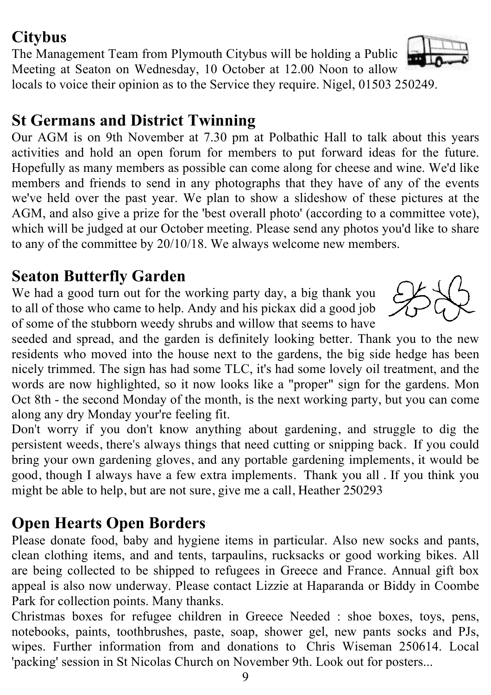## **Citybus**

The Management Team from Plymouth Citybus will be holding a Public Meeting at Seaton on Wednesday, 10 October at 12.00 Noon to allow locals to voice their opinion as to the Service they require. Nigel, 01503 250249.

# **St Germans and District Twinning**

Our AGM is on 9th November at 7.30 pm at Polbathic Hall to talk about this years activities and hold an open forum for members to put forward ideas for the future. Hopefully as many members as possible can come along for cheese and wine. We'd like members and friends to send in any photographs that they have of any of the events we've held over the past year. We plan to show a slideshow of these pictures at the AGM, and also give a prize for the 'best overall photo' (according to a committee vote), which will be judged at our October meeting. Please send any photos you'd like to share to any of the committee by 20/10/18. We always welcome new members.

# **Seaton Butterfly Garden**

We had a good turn out for the working party day, a big thank you to all of those who came to help. Andy and his pickax did a good job of some of the stubborn weedy shrubs and willow that seems to have

seeded and spread, and the garden is definitely looking better. Thank you to the new residents who moved into the house next to the gardens, the big side hedge has been nicely trimmed. The sign has had some TLC, it's had some lovely oil treatment, and the words are now highlighted, so it now looks like a "proper" sign for the gardens. Mon Oct 8th - the second Monday of the month, is the next working party, but you can come along any dry Monday your're feeling fit.

Don't worry if you don't know anything about gardening, and struggle to dig the persistent weeds, there's always things that need cutting or snipping back. If you could bring your own gardening gloves, and any portable gardening implements, it would be good, though I always have a few extra implements. Thank you all . If you think you might be able to help, but are not sure, give me a call, Heather 250293

# **Open Hearts Open Borders**

Please donate food, baby and hygiene items in particular. Also new socks and pants, clean clothing items, and and tents, tarpaulins, rucksacks or good working bikes. All are being collected to be shipped to refugees in Greece and France. Annual gift box appeal is also now underway. Please contact Lizzie at Haparanda or Biddy in Coombe Park for collection points. Many thanks.

Christmas boxes for refugee children in Greece Needed : shoe boxes, toys, pens, notebooks, paints, toothbrushes, paste, soap, shower gel, new pants socks and PJs, wipes. Further information from and donations to Chris Wiseman 250614. Local 'packing' session in St Nicolas Church on November 9th. Look out for posters...



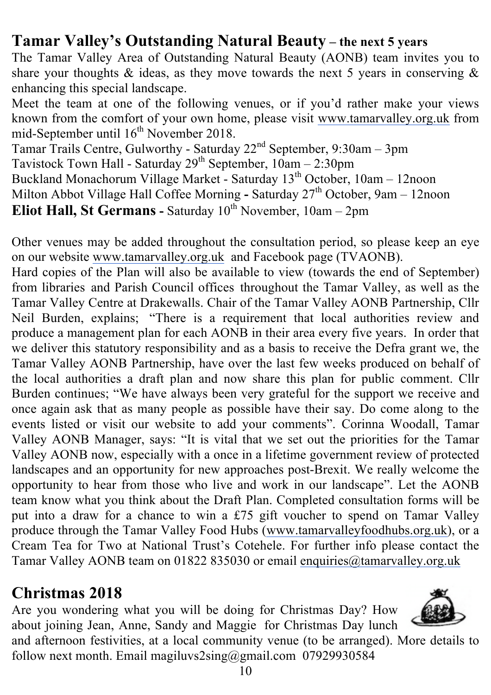## **Tamar Valley's Outstanding Natural Beauty – the next 5 years**

The Tamar Valley Area of Outstanding Natural Beauty (AONB) team invites you to share your thoughts  $\&$  ideas, as they move towards the next 5 years in conserving  $\&$ enhancing this special landscape.

Meet the team at one of the following venues, or if you'd rather make your views known from the comfort of your own home, please visit www.tamarvalley.org.uk from mid-September until 16<sup>th</sup> November 2018.

Tamar Trails Centre, Gulworthy - Saturday 22<sup>nd</sup> September, 9:30am - 3pm Tavistock Town Hall - Saturday  $29^{th}$  September,  $10am - 2:30pm$ Buckland Monachorum Village Market - Saturday 13<sup>th</sup> October, 10am - 12noon Milton Abbot Village Hall Coffee Morning - Saturday 27<sup>th</sup> October, 9am - 12noon **Eliot Hall, St Germans** - Saturday  $10^{th}$  November,  $10am - 2pm$ 

Other venues may be added throughout the consultation period, so please keep an eye on our website www.tamarvalley.org.uk and Facebook page (TVAONB).

Hard copies of the Plan will also be available to view (towards the end of September) from libraries and Parish Council offices throughout the Tamar Valley, as well as the Tamar Valley Centre at Drakewalls. Chair of the Tamar Valley AONB Partnership, Cllr Neil Burden, explains; "There is a requirement that local authorities review and produce a management plan for each AONB in their area every five years. In order that we deliver this statutory responsibility and as a basis to receive the Defra grant we, the Tamar Valley AONB Partnership, have over the last few weeks produced on behalf of the local authorities a draft plan and now share this plan for public comment. Cllr Burden continues; "We have always been very grateful for the support we receive and once again ask that as many people as possible have their say. Do come along to the events listed or visit our website to add your comments". Corinna Woodall, Tamar Valley AONB Manager, says: "It is vital that we set out the priorities for the Tamar Valley AONB now, especially with a once in a lifetime government review of protected landscapes and an opportunity for new approaches post-Brexit. We really welcome the opportunity to hear from those who live and work in our landscape". Let the AONB team know what you think about the Draft Plan. Completed consultation forms will be put into a draw for a chance to win a £75 gift voucher to spend on Tamar Valley produce through the Tamar Valley Food Hubs (www.tamarvalleyfoodhubs.org.uk), or a Cream Tea for Two at National Trust's Cotehele. For further info please contact the Tamar Valley AONB team on 01822 835030 or email enquiries@tamarvalley.org.uk

## **Christmas 2018**

Are you wondering what you will be doing for Christmas Day? How about joining Jean, Anne, Sandy and Maggie for Christmas Day lunch



and afternoon festivities, at a local community venue (to be arranged). More details to follow next month. Email magiluvs2sing@gmail.com 07929930584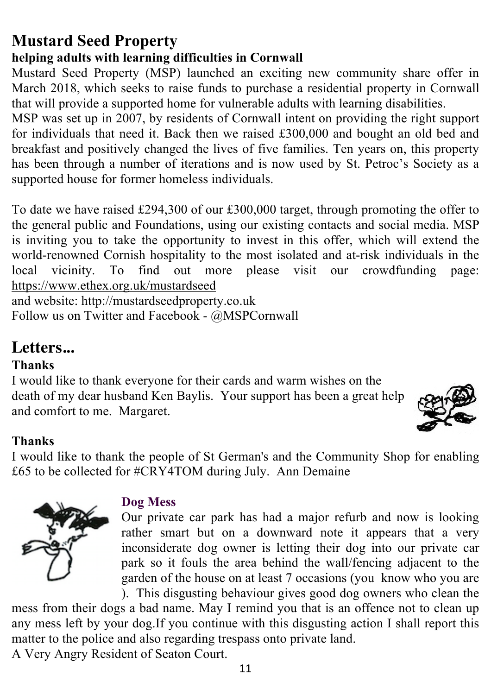# **Mustard Seed Property**

#### **helping adults with learning difficulties in Cornwall**

Mustard Seed Property (MSP) launched an exciting new community share offer in March 2018, which seeks to raise funds to purchase a residential property in Cornwall that will provide a supported home for vulnerable adults with learning disabilities.

MSP was set up in 2007, by residents of Cornwall intent on providing the right support for individuals that need it. Back then we raised £300,000 and bought an old bed and breakfast and positively changed the lives of five families. Ten years on, this property has been through a number of iterations and is now used by St. Petroc's Society as a supported house for former homeless individuals.

To date we have raised £294,300 of our £300,000 target, through promoting the offer to the general public and Foundations, using our existing contacts and social media. MSP is inviting you to take the opportunity to invest in this offer, which will extend the world-renowned Cornish hospitality to the most isolated and at-risk individuals in the local vicinity. To find out more please visit our crowdfunding page: https://www.ethex.org.uk/mustardseed

and website: http://mustardseedproperty.co.uk Follow us on Twitter and Facebook - @MSPCornwall

#### **Letters...**

#### **Thanks**

I would like to thank everyone for their cards and warm wishes on the death of my dear husband Ken Baylis. Your support has been a great help and comfort to me. Margaret.



#### **Thanks**

I would like to thank the people of St German's and the Community Shop for enabling £65 to be collected for #CRY4TOM during July. Ann Demaine



#### **Dog Mess**

Our private car park has had a major refurb and now is looking rather smart but on a downward note it appears that a very inconsiderate dog owner is letting their dog into our private car park so it fouls the area behind the wall/fencing adjacent to the garden of the house on at least 7 occasions (you know who you are ). This disgusting behaviour gives good dog owners who clean the

mess from their dogs a bad name. May I remind you that is an offence not to clean up any mess left by your dog.If you continue with this disgusting action I shall report this matter to the police and also regarding trespass onto private land.

A Very Angry Resident of Seaton Court.